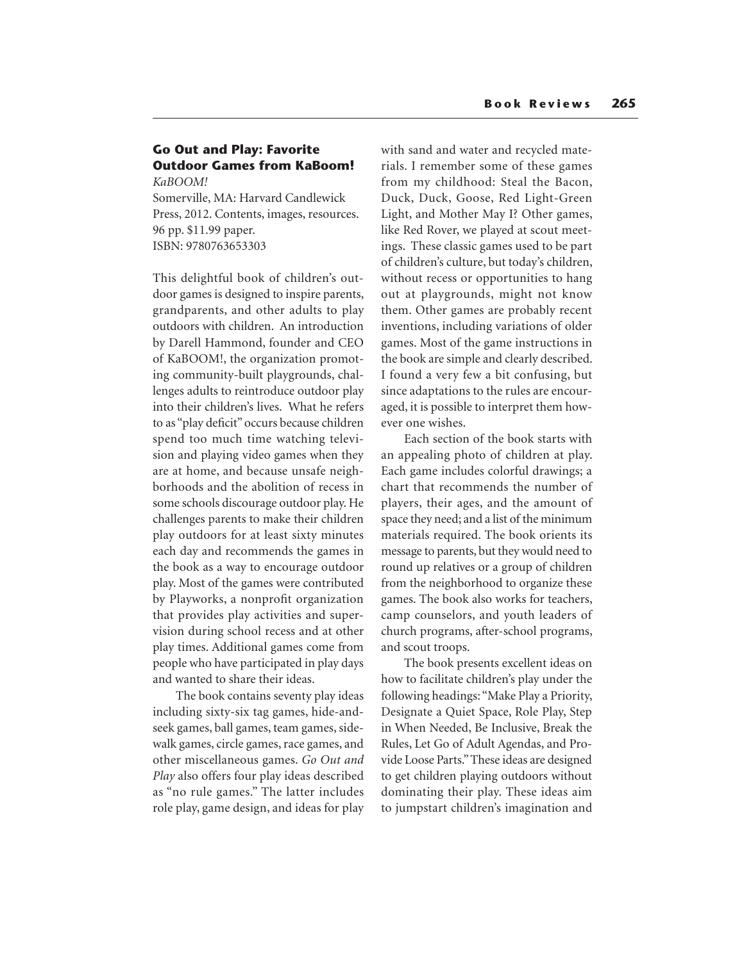## **Go Out and Play: Favorite Outdoor Games from KaBoom!** *KaBOOM!*

Somerville, MA: Harvard Candlewick Press, 2012. Contents, images, resources. 96 pp. \$11.99 paper. ISBN: 9780763653303

This delightful book of children's outdoor games is designed to inspire parents, grandparents, and other adults to play outdoors with children. An introduction by Darell Hammond, founder and CEO of KaBOOM!, the organization promoting community-built playgrounds, challenges adults to reintroduce outdoor play into their children's lives. What he refers to as "play deficit" occurs because children spend too much time watching television and playing video games when they are at home, and because unsafe neighborhoods and the abolition of recess in some schools discourage outdoor play. He challenges parents to make their children play outdoors for at least sixty minutes each day and recommends the games in the book as a way to encourage outdoor play. Most of the games were contributed by Playworks, a nonprofit organization that provides play activities and supervision during school recess and at other play times. Additional games come from people who have participated in play days and wanted to share their ideas.

The book contains seventy play ideas including sixty-six tag games, hide-andseek games, ball games, team games, sidewalk games, circle games, race games, and other miscellaneous games. *Go Out and Play* also offers four play ideas described as "no rule games." The latter includes role play, game design, and ideas for play with sand and water and recycled materials. I remember some of these games from my childhood: Steal the Bacon, Duck, Duck, Goose, Red Light-Green Light, and Mother May I? Other games, like Red Rover, we played at scout meetings. These classic games used to be part of children's culture, but today's children, without recess or opportunities to hang out at playgrounds, might not know them. Other games are probably recent inventions, including variations of older games. Most of the game instructions in the book are simple and clearly described. I found a very few a bit confusing, but since adaptations to the rules are encouraged, it is possible to interpret them however one wishes.

Each section of the book starts with an appealing photo of children at play. Each game includes colorful drawings; a chart that recommends the number of players, their ages, and the amount of space they need; and a list of the minimum materials required. The book orients its message to parents, but they would need to round up relatives or a group of children from the neighborhood to organize these games. The book also works for teachers, camp counselors, and youth leaders of church programs, after-school programs, and scout troops.

The book presents excellent ideas on how to facilitate children's play under the following headings: "Make Play a Priority, Designate a Quiet Space, Role Play, Step in When Needed, Be Inclusive, Break the Rules, Let Go of Adult Agendas, and Provide Loose Parts." These ideas are designed to get children playing outdoors without dominating their play. These ideas aim to jumpstart children's imagination and